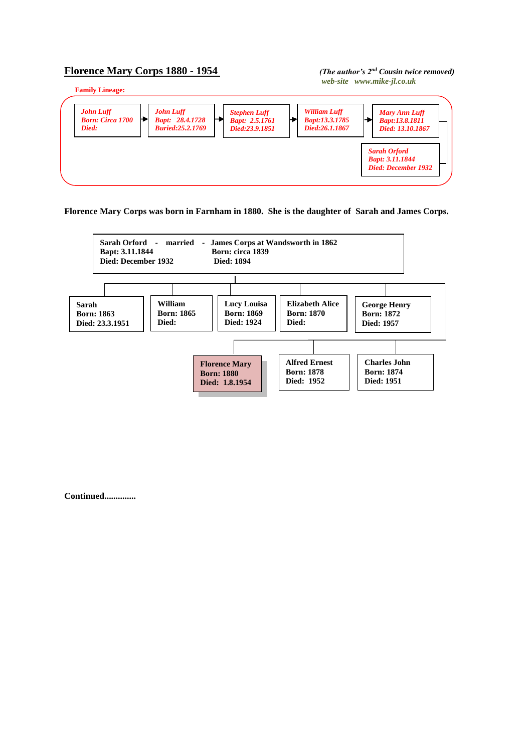## **Florence Mary Corps 1880 - 1954** *(The author's 2nd Cousin twice removed)*



## **Florence Mary Corps was born in Farnham in 1880. She is the daughter of Sarah and James Corps.**



**Continued..............**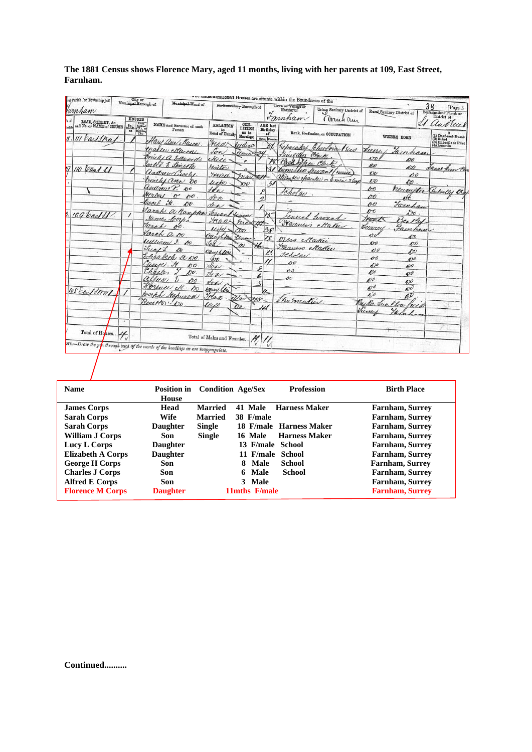| vil Parish [or Township] of<br>tarnham         | City or Municipal Borough of<br><b>HOUSES</b> | Municipal Ward of                                                                 |                                         | Porliamentary Borough of            |                            | menuoned Houses are situate within the Boundaries of the<br>Town or Village or<br>Homigt of<br>Farnham | Urban Sanitary District of<br>Cornel am |                                             | Rural Sanitary District of | 38<br>[Page 5<br>Ecclesinstical Parish or<br>District of              |
|------------------------------------------------|-----------------------------------------------|-----------------------------------------------------------------------------------|-----------------------------------------|-------------------------------------|----------------------------|--------------------------------------------------------------------------------------------------------|-----------------------------------------|---------------------------------------------|----------------------------|-----------------------------------------------------------------------|
| ROAD, STREET, &c.,<br>and No. or NAME of HOUSE |                                               | NAME and Surname of cach<br>Person                                                | <b>RELATION</b><br>to<br>Head of Family | CON-<br>DITION<br>as to<br>Marriago | AGE last<br>Birthday<br>of |                                                                                                        | Rank, Profession, or OCCUPATION         |                                             | WHERE BORN                 | luduus                                                                |
| 1 castitra                                     |                                               | Hary and Mason<br>ealler Murra                                                    | Fraar<br>Son                            | ludva<br>um                         | Males Female<br>ðν         | racatori                                                                                               | Choolnay<br>Sus                         | eun                                         | Fainham                    | (1) Deaf-and-Dumb<br>(2) Blind<br>(3) Imbedie or Idiot<br>(4) Lunatio |
| 10 least st                                    |                                               | michia Edwards<br>salel . E Linyth                                                | ekeee<br><i>Itsitor</i>                 |                                     | Ś1                         | Builder<br>ask She Club                                                                                | Clark                                   | 50<br><b>RO</b>                             | øo<br>6TO                  | Same for Br                                                           |
|                                                |                                               | andrew Croche<br>Emily ann 00                                                     | yead<br>urte                            | new<br>رمی<br>$x\infty$             | $\frac{3}{2}$              | Domistic Seyant<br>Rumber Hearder-                                                                     | rence<br>6men. 2 bags                   | $\overline{\mathcal{O}}\mathcal{O}$<br>170  | po<br>$\mathcal{O}O$ .     |                                                                       |
|                                                |                                               | Undrew P. 80<br>Nerbal o<br>190<br>Caech H.                                       | 100<br>den                              |                                     | n                          | Cholay.                                                                                                |                                         | 60<br>00                                    | neuritten                  | Salcally Ore                                                          |
| 109 bad SI 1.                                  |                                               | 00.<br>Jarah a Banpler<br>James Corp.                                             | for.<br>Lenan                           | Kum                                 |                            |                                                                                                        | enced terminal                          | be<br>00<br>rant                            | Turnham<br>500.            |                                                                       |
|                                                | Jarah                                         | DO.<br>Jarah a oo                                                                 | Fraas<br>laH<br>Oauchton                | mas 41                              | 38                         |                                                                                                        | Farmer Maker                            | Veennee<br>erv                              | Bentley<br>ainhan          |                                                                       |
|                                                | Lucy 1                                        | William J. Au<br>$\Delta v$                                                       | Ount flow                               | Elgan<br>u<br>w                     | 78                         | tres Matici<br>Transes Maker                                                                           |                                         | $\mathcal{O}^{\sigma}$<br>$\mathbf{v}$      | £О<br>DO.<br>DО            |                                                                       |
|                                                |                                               | Elisabeth a wo.<br>George. N<br>p0                                                | ЮO<br>dow                               | -                                   | $\frac{\sqrt{3}}{2}$<br>ρ  | deholar<br>DO                                                                                          |                                         | 00<br>670                                   | 4,90<br>600                |                                                                       |
|                                                | Charles<br>alluus                             | $A$ <sub>1</sub><br>00                                                            | Jow<br>Son                              |                                     | 6<br>$\prec$               | 00<br>$^{oo}$                                                                                          |                                         | 650<br>600                                  | 490<br>50                  |                                                                       |
| 108 Carl Street                                |                                               | Horence ell . 00<br>Joseph Stepwood                                               | Weiel les<br>Tread                      | l w?                                | $\mathcal{U}_{\mathbf{m}}$ | Thormatica                                                                                             |                                         | $\mathcal{L}^{\mathcal{D}}$<br>$40^{\circ}$ | $\mathscr{A}$<br>w         |                                                                       |
|                                                |                                               | Rosetto  00                                                                       | tirto                                   | Ðø                                  |                            |                                                                                                        |                                         | Becks.<br>June                              | llav<br>un                 |                                                                       |
| Total of Houses                                | $\qquad \qquad \,$                            |                                                                                   |                                         |                                     |                            |                                                                                                        |                                         |                                             |                            |                                                                       |
|                                                |                                               | ore.-Draw the por through such of the words of the headings as are inappropriate, | Total of Males and Females              |                                     |                            |                                                                                                        |                                         |                                             |                            |                                                                       |

**The 1881 Census shows Florence Mary, aged 11 months, living with her parents at 109, East Street, Farnham.**

| <b>Name</b>              | <b>Position in</b><br>House | <b>Condition Age/Sex</b> |                  | <b>Profession</b>       | <b>Birth Place</b>     |
|--------------------------|-----------------------------|--------------------------|------------------|-------------------------|------------------------|
| <b>James Corps</b>       | Head                        | <b>Married</b>           | 41 Male          | <b>Harness Maker</b>    | <b>Farnham, Surrey</b> |
| <b>Sarah Corps</b>       | Wife                        | <b>Married</b>           | 38 F/male        |                         | Farnham, Surrey        |
| <b>Sarah Corps</b>       | <b>Daughter</b>             | <b>Single</b>            |                  | 18 F/male Harness Maker | Farnham, Surrey        |
| <b>William J Corps</b>   | Son                         | <b>Single</b>            | 16 Male          | <b>Harness Maker</b>    | Farnham, Surrey        |
| Lucy L Corps             | <b>Daughter</b>             |                          | 13 F/male School |                         | <b>Farnham, Surrey</b> |
| <b>Elizabeth A Corps</b> | <b>Daughter</b>             |                          | 11 F/male School |                         | <b>Farnham, Surrey</b> |
| <b>George H Corps</b>    | Son                         |                          | Male<br>8.       | School                  | <b>Farnham, Surrey</b> |
| <b>Charles J Corps</b>   | Son                         |                          | 6 Male           | <b>School</b>           | <b>Farnham, Surrey</b> |
| <b>Alfred E Corps</b>    | Son                         |                          | 3 Male           |                         | <b>Farnham, Surrey</b> |
| <b>Florence M Corps</b>  | <b>Daughter</b>             |                          | 11mths F/male    |                         | <b>Farnham, Surrey</b> |

**Continued..........**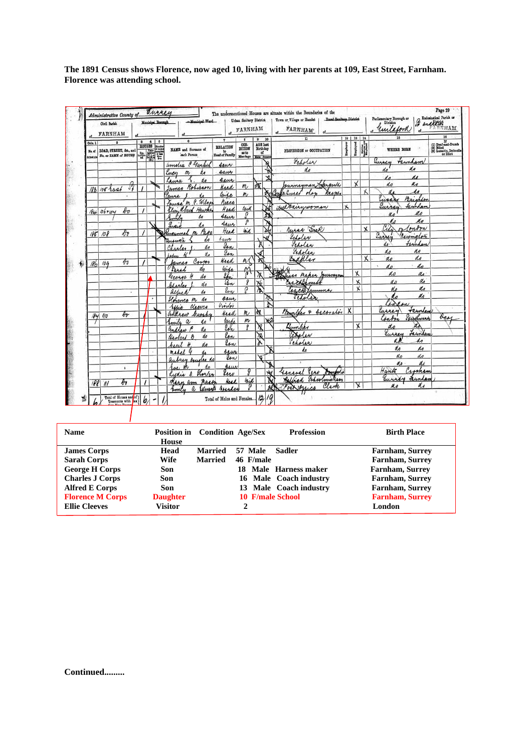|                               | Civil Parish<br>FARNHAM                        |              |          |     | Municipal Borough | - Manisipal Ward                            |                                         |       | of FARNHAM                                    |                            |    | Roral Sanilary District<br>Urban Sanitary District   Town or Vilage or Hamlet<br><b>FARNHAM</b> |                 |                              |   | Parliamentary Breezgh or<br>" Guilaford | Bodonistical Parish or | NHAM                                                                   |
|-------------------------------|------------------------------------------------|--------------|----------|-----|-------------------|---------------------------------------------|-----------------------------------------|-------|-----------------------------------------------|----------------------------|----|-------------------------------------------------------------------------------------------------|-----------------|------------------------------|---|-----------------------------------------|------------------------|------------------------------------------------------------------------|
|                               |                                                |              | 8        | 4 0 |                   |                                             | $\overline{\phantom{a}}$                |       | $\mathbf{B}$                                  | $0 - 10$                   |    | $\overline{\mathbf{u}}$                                                                         | 19 <sup>°</sup> | 13 14                        |   | 15                                      |                        | 16                                                                     |
| Cols. 1<br>Ho. of<br>Schodzie | B0AD, STREET, &c., and<br>No. or NAME of HOUSE |              |          |     | <b>Fig</b>        | NAME and Sumame of<br>each Person           | <b>RELATION</b><br>to<br>Head of Family |       | CON-<br>DITION<br>88.10<br>Marriago Mon Fener | AGE last<br>Birthday<br>of |    | PROFESSION ec OCCUPATION                                                                        | Employe         | Employed                     | H | <b>WHERE BORN</b>                       |                        | If (1) Deaf-and-Dumb<br>(9) Bilind<br>(9) Lenatin, Imbedie<br>or Idiot |
|                               |                                                |              |          |     |                   | amelia Plantach                             | saur                                    |       |                                               |                            |    | Peholar                                                                                         |                 |                              |   | Lussen<br>reunham                       |                        |                                                                        |
|                               |                                                |              |          |     |                   | lucy<br>m                                   | saur                                    |       |                                               |                            |    | de                                                                                              |                 |                              |   | do<br>do                                |                        |                                                                        |
|                               |                                                |              |          |     |                   | do<br>Laura<br>K.                           | seur                                    |       |                                               |                            |    |                                                                                                 |                 |                              |   | u                                       |                        |                                                                        |
|                               | 183 105 rast                                   | $\partial_i$ |          |     |                   | Rohman<br>James                             | Keed                                    |       | m                                             | 演                          |    | sumeyman Sprpink                                                                                |                 | x                            |   | Ko<br>do                                |                        |                                                                        |
|                               |                                                |              |          |     |                   | anna                                        | Crise                                   |       | m                                             |                            | 茂  | ß.<br>e. Civil<br><b>REAMS</b><br>nes                                                           |                 |                              |   | M                                       |                        |                                                                        |
|                               |                                                |              |          |     |                   | Louise M. P. Wilso                          | niece                                   |       |                                               |                            |    |                                                                                                 |                 |                              |   | west                                    |                        |                                                                        |
|                               | $N_{44}$ 106+104                               | $\ell_{v}$   |          |     |                   | Elvin abeck<br>Hawkey                       | Head                                    |       | lack                                          |                            |    | Helterinwoman                                                                                   | Χ               |                              |   | Familian<br>Lurre                       |                        |                                                                        |
|                               |                                                |              |          |     |                   | Smile<br>do                                 | saue                                    |       | o                                             |                            | ₫  |                                                                                                 |                 |                              |   | $\mathscr{Q}$                           |                        |                                                                        |
|                               |                                                |              |          |     |                   | Inei<br>do                                  | Saur                                    |       | ρ                                             |                            |    |                                                                                                 |                 |                              |   |                                         | K o                    |                                                                        |
|                               | $185 - 108$                                    | Dъ           |          |     |                   | Page<br>Sugarmed<br>$\sim$                  | Head                                    |       | lind.                                         |                            |    | Murac Del                                                                                       |                 |                              | x | $\alpha$<br>tonom                       |                        |                                                                        |
|                               |                                                |              |          |     |                   | Augusta<br>d.a                              | bauer                                   |       |                                               |                            |    | Scholar                                                                                         |                 |                              |   | Europey<br>Unimalin                     |                        |                                                                        |
|                               |                                                |              |          |     |                   | Charles<br>dо                               | lon                                     |       |                                               |                            |    | Veholar                                                                                         |                 |                              |   | templan<br>do                           |                        |                                                                        |
|                               |                                                |              |          |     |                   | d.                                          | lon                                     |       |                                               | √                          |    | Scholar                                                                                         |                 |                              |   | d o<br>do                               |                        |                                                                        |
| 186                           | 104                                            | $\theta$     |          |     |                   | Corpo<br>fames.                             | Head                                    |       | n(                                            | ₩                          |    | Engeller                                                                                        |                 |                              | χ | do<br>do                                |                        |                                                                        |
|                               |                                                |              |          |     |                   | do<br>Sarah                                 | wife                                    |       | $\mathfrak{A}$                                |                            |    |                                                                                                 |                 |                              |   | $\vec{a}$                               | do                     |                                                                        |
|                               |                                                |              |          |     |                   | do<br>George                                |                                         |       |                                               |                            |    | Monaco napan Jumayno                                                                            |                 | Х                            |   | do                                      | do<br>do               |                                                                        |
|                               |                                                |              |          |     |                   | do<br>black                                 | <u>len</u>                              |       | д                                             | 76                         |    | rackbemut                                                                                       |                 | $\overline{\mathsf{x}}$<br>X |   | d n                                     |                        |                                                                        |
|                               |                                                |              |          |     |                   | alleed<br>de                                | lon                                     |       | ō                                             | Σ                          |    | Carchetummar                                                                                    |                 |                              |   | $\mathbf{r}$                            | do<br>do               |                                                                        |
|                               |                                                |              |          |     |                   | Horance m<br>do                             | asur.                                   |       |                                               |                            | 70 | ochola                                                                                          |                 |                              |   |                                         |                        |                                                                        |
|                               |                                                |              |          |     |                   | Cleenes<br>refixe                           | Violoi                                  |       |                                               |                            |    |                                                                                                 | X               |                              |   | Frencen                                 |                        |                                                                        |
|                               | 184 40                                         | Dr-          |          |     |                   | andrew burst                                | <b>Read</b>                             |       | $\boldsymbol{m}$                              | ÌХ                         |    | Plompler 4 becorator                                                                            |                 |                              |   | urrey<br>Peirchwark                     |                        | bee                                                                    |
|                               |                                                |              |          |     |                   | Emily a<br>do                               | lusi                                    |       | m                                             |                            |    |                                                                                                 |                 | χ                            |   | χò<br>d                                 |                        |                                                                        |
|                               |                                                |              |          |     |                   | Gradow P<br>do                              | loh                                     |       |                                               | X,                         |    | Demober                                                                                         |                 |                              |   | Surrey                                  | Lewilan                |                                                                        |
|                               |                                                |              |          |     |                   | do<br>Healers 8                             | lon                                     |       |                                               | 浊                          |    | asholis                                                                                         |                 |                              |   |                                         | do                     |                                                                        |
|                               |                                                |              |          |     |                   | do<br>betel                                 | low                                     |       |                                               | ኡ                          |    | Scholar                                                                                         |                 |                              |   | do                                      | ho                     |                                                                        |
|                               |                                                |              |          |     |                   | madel                                       | saw                                     |       |                                               |                            |    | h                                                                                               |                 |                              |   | do                                      | do                     |                                                                        |
|                               |                                                |              |          |     |                   | aubrey Annales do                           |                                         | low   |                                               | ۷                          |    |                                                                                                 |                 |                              |   | No                                      | do                     |                                                                        |
|                               |                                                | ٠            |          |     |                   | Ĺм.                                         |                                         | ALLIN | ø                                             |                            |    | فداعة                                                                                           |                 |                              |   | Hants<br>Crosham                        |                        |                                                                        |
|                               |                                                |              |          |     |                   | Phoeles<br>Lydia<br>$\sqrt{ }$              | luw                                     |       |                                               |                            | ₩  | univel serv<br>Schoolmickeen                                                                    |                 |                              |   | Surrey<br>Funda                         |                        |                                                                        |
|                               | $188$ 11                                       | $\theta$     | $\prime$ |     |                   | There<br>Magn am                            | <b>Koad</b>                             |       | kid                                           |                            |    | Rathad<br>Clark<br>Clockerica                                                                   |                 | χ                            |   | $\mathcal{U}_\ell$                      | a.                     |                                                                        |
|                               |                                                |              |          |     |                   | <i><u><b>Lilinger</b></u></i><br>Q<br>Emply |                                         |       |                                               |                            |    |                                                                                                 |                 |                              |   |                                         |                        |                                                                        |

**The 1891 Census shows Florence, now aged 10, living with her parents at 109, East Street, Farnham. Florence was attending school.**

| <b>Name</b>             | <b>Position in</b> Condition Age/Sex<br>House |                |                         | <b>Profession</b>      | <b>Birth Place</b>     |
|-------------------------|-----------------------------------------------|----------------|-------------------------|------------------------|------------------------|
| <b>James Corps</b>      | Head                                          | Married        | 57 Male                 | Sadler                 | <b>Farnham, Surrey</b> |
| <b>Sarah Corps</b>      | Wife                                          | <b>Married</b> | 46 F/male               |                        | Farnham, Surrey        |
| <b>George H Corps</b>   | Son                                           |                | 18.                     | Male Harness maker     | <b>Farnham, Surrey</b> |
| <b>Charles J Corps</b>  | Son                                           |                |                         | 16 Male Coach industry | <b>Farnham, Surrey</b> |
| <b>Alfred E Corps</b>   | Son                                           |                |                         | 13 Male Coach industry | <b>Farnham, Surrey</b> |
| <b>Florence M Corps</b> | <b>Daughter</b>                               |                | <b>10 F/male School</b> |                        | <b>Farnham, Surrey</b> |
| <b>Ellie Cleeves</b>    | Visitor                                       |                |                         |                        | London                 |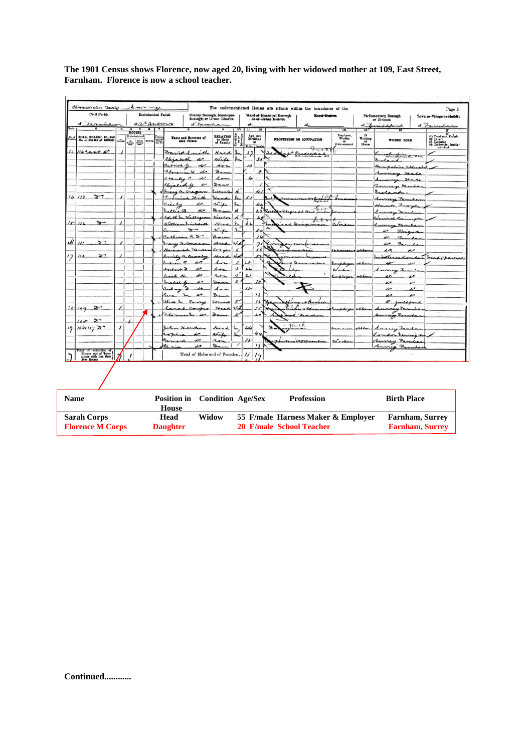| Civil Parish<br><b>Ecclesiastical Parish</b><br>of a andrews<br>disampan |                                                |              |          | County Borough, Municipal-<br>Borough, or Urban District<br>of familian |                  |                                |                               |              | Ward of Municipal Borough<br>or of Urban District | <b>Rural District</b>     | Parliamentary Berough<br>or Division<br>Town or Village or Humbst |                                          |                                 |                |                                      |                                                                                           |                              |                                                                                  |
|--------------------------------------------------------------------------|------------------------------------------------|--------------|----------|-------------------------------------------------------------------------|------------------|--------------------------------|-------------------------------|--------------|---------------------------------------------------|---------------------------|-------------------------------------------------------------------|------------------------------------------|---------------------------------|----------------|--------------------------------------|-------------------------------------------------------------------------------------------|------------------------------|----------------------------------------------------------------------------------|
| Ools                                                                     |                                                | ᡒ            |          | $\overline{4}$                                                          |                  |                                |                               |              | $\pmb{\theta}$                                    | 10                        | of-<br>п                                                          | 18                                       | 18                              |                | 14                                   | 15 <sup>b</sup>                                                                           | of limedford<br>16           | of Famham<br>17                                                                  |
|                                                                          | ROAD, STREET, &c., and<br>No. or NAME of HOUSE |              | ستلم     | HOUSES<br>÷                                                             | Uninhabited<br>쁳 | France<br>F Kong<br><b>THE</b> | Name and Surname of           |              | <b>RELATION</b><br>to Head<br>of Pamily           | Į,<br>$\frac{4}{5}$<br>'n |                                                                   | Age last<br>Birthday<br>at<br>East Press | <b>PROFESSION OR OCCUPATION</b> |                | Eusplayer,<br>Worker,<br>Own account | $\frac{\mathbf{I} \mathbf{f}}{\mathbf{W} \text{orking}}$<br>$n_{\text{cons}}^{\text{st}}$ | WHERE BORN                   | (1) Deaf and Dumb<br>(3) Blind<br>(3) Lunatic<br>(4) Imberile, feeble-<br>minded |
|                                                                          | $13$ $114$ cast of                             |              |          |                                                                         |                  |                                | Savidd                        | mith         | Head                                              |                           |                                                                   |                                          |                                 |                |                                      |                                                                                           | almalin                      |                                                                                  |
|                                                                          |                                                |              |          |                                                                         |                  |                                | Shrabeth                      | u            | wife                                              | $\mathbf{h}$              |                                                                   | 35N                                      |                                 |                |                                      |                                                                                           | Greend                       |                                                                                  |
|                                                                          |                                                |              |          |                                                                         |                  |                                | Partick de                    |              | 40r                                               |                           | 10                                                                | $\cdot$                                  |                                 |                |                                      |                                                                                           | Hampshire alders             |                                                                                  |
|                                                                          |                                                |              |          |                                                                         |                  |                                | <i>thoraman</i>               | a            | 2nna                                              |                           |                                                                   | o                                        |                                 |                |                                      |                                                                                           |                              |                                                                                  |
|                                                                          |                                                |              |          |                                                                         |                  |                                | shanley C                     | d            | A                                                 |                           | 4                                                                 |                                          |                                 |                |                                      |                                                                                           |                              |                                                                                  |
|                                                                          |                                                |              |          |                                                                         |                  |                                | regalisa                      | ے            | Saur                                              |                           |                                                                   |                                          |                                 |                |                                      |                                                                                           | rege mucha                   |                                                                                  |
|                                                                          |                                                |              |          |                                                                         |                  |                                | mary a cream                  |              | لمغا يتربع فيما                                   | ∡                         |                                                                   | 43                                       |                                 |                |                                      |                                                                                           |                              |                                                                                  |
|                                                                          | $14/13$ 8                                      |              |          |                                                                         |                  |                                | Frederick<br>24.80            | Ж4.          |                                                   | bu                        | 51                                                                |                                          |                                 |                |                                      |                                                                                           |                              |                                                                                  |
|                                                                          |                                                |              |          |                                                                         |                  |                                |                               |              | Wife                                              | $\mathbf{h}$              |                                                                   | 49                                       |                                 |                |                                      |                                                                                           | ante Frage                   |                                                                                  |
|                                                                          |                                                |              |          |                                                                         |                  |                                | $\alpha$ . $\alpha$           |              | سمه                                               |                           |                                                                   | 4.3                                      |                                 | tau            |                                      |                                                                                           | anay mand                    |                                                                                  |
|                                                                          |                                                |              |          |                                                                         |                  |                                | Edith In Wallegrow            |              | Vision                                            |                           |                                                                   |                                          |                                 |                |                                      |                                                                                           | Wassersh Learn gto.          |                                                                                  |
| 15                                                                       | $112 - 3$                                      |              |          |                                                                         |                  |                                | wie                           |              | A1.                                               | $\lambda$                 |                                                                   |                                          | s.                              |                | يمكنه                                |                                                                                           |                              |                                                                                  |
|                                                                          |                                                |              |          |                                                                         |                  |                                | ফ                             |              | wife                                              | $\gamma$                  |                                                                   | 50                                       |                                 |                |                                      |                                                                                           | age Franchi                  |                                                                                  |
|                                                                          |                                                |              |          |                                                                         |                  |                                | $a$ $\overline{a}$            |              | $2 - 4$                                           |                           |                                                                   |                                          |                                 |                |                                      |                                                                                           | ı<br>$F_{\text{max}}$        |                                                                                  |
| ıH                                                                       | $\mu$                                          | $\mathbf{r}$ |          |                                                                         |                  |                                | many and                      |              | Head                                              | $\omega$                  |                                                                   |                                          |                                 |                |                                      |                                                                                           | $F_{\rm{max}}$<br>de         |                                                                                  |
|                                                                          |                                                |              |          |                                                                         |                  |                                | rans                          |              | Zantopen                                          | ی                         |                                                                   | Ĵ.                                       |                                 |                | <b>DOMAGE</b>                        | $4$ hens                                                                                  |                              |                                                                                  |
|                                                                          | 110                                            | $\mathbf{x}$ |          |                                                                         |                  |                                |                               | رجابان       |                                                   |                           |                                                                   |                                          |                                 |                |                                      |                                                                                           | $-4-$                        |                                                                                  |
|                                                                          |                                                |              |          |                                                                         |                  |                                | marin P.                      |              | ፌ                                                 | Ĵ,                        |                                                                   |                                          |                                 |                | <i><u><b>Somplege</b></u></i>        | سكند                                                                                      | سعد<br>ir                    | Deap (partial                                                                    |
|                                                                          |                                                |              |          |                                                                         |                  |                                | s<br>Herbart 7                |              | $A_{11}$                                          | $\mathcal{L}$             | $\overline{11}$                                                   |                                          |                                 |                | Worker                               |                                                                                           | <u>sasay to</u>              |                                                                                  |
|                                                                          |                                                |              |          |                                                                         |                  |                                | s<br>a.                       |              | 2                                                 | $\mathcal{L}$             |                                                                   |                                          |                                 | ۰              | Langidaryan                          | nth                                                                                       |                              |                                                                                  |
|                                                                          |                                                |              |          |                                                                         |                  |                                | de                            |              | <b>Ban</b>                                        | $\boldsymbol{z}$          |                                                                   | l⊕                                       |                                 |                |                                      |                                                                                           | ı                            |                                                                                  |
|                                                                          |                                                |              |          |                                                                         |                  |                                | ⋑<br>d                        |              | $\overline{A}$                                    |                           | $\overline{u}$                                                    |                                          |                                 |                |                                      |                                                                                           | v<br>in                      |                                                                                  |
|                                                                          |                                                |              |          |                                                                         |                  |                                |                               | $\mathbf{a}$ |                                                   |                           |                                                                   | 73                                       |                                 |                |                                      |                                                                                           | d<br>مماه                    |                                                                                  |
|                                                                          |                                                |              |          |                                                                         |                  |                                |                               | Resum        |                                                   | S.                        |                                                                   |                                          |                                 | A              |                                      |                                                                                           | <u>uldford</u>               |                                                                                  |
|                                                                          | 18/109                                         |              | $\prime$ |                                                                         |                  |                                |                               |              | $\mathcal{N}$                                     | أزكة                      |                                                                   | s                                        | $A^a$                           |                |                                      |                                                                                           |                              |                                                                                  |
|                                                                          |                                                |              |          |                                                                         |                  |                                | Flore                         |              |                                                   | S.                        |                                                                   | ۰ò                                       |                                 |                |                                      |                                                                                           |                              |                                                                                  |
|                                                                          | $108 - 27$                                     |              |          |                                                                         |                  |                                |                               |              |                                                   |                           |                                                                   |                                          |                                 |                |                                      |                                                                                           |                              |                                                                                  |
|                                                                          |                                                |              |          |                                                                         |                  |                                |                               | $M_{AA}$     |                                                   | m                         | 44                                                                |                                          | mick<br>s.                      |                |                                      |                                                                                           |                              |                                                                                  |
|                                                                          | 10641072                                       |              |          |                                                                         |                  |                                |                               |              | wie                                               | ī,                        |                                                                   | 44                                       |                                 |                |                                      |                                                                                           | Susany Fame                  |                                                                                  |
|                                                                          |                                                |              |          |                                                                         |                  |                                | au                            | $\sim$       |                                                   |                           |                                                                   |                                          |                                 | sem apprentive | Works                                |                                                                                           |                              |                                                                                  |
|                                                                          |                                                |              |          |                                                                         |                  |                                | ın                            | De.          |                                                   |                           |                                                                   | 13                                       |                                 |                |                                      |                                                                                           | uning tas<br>Rumer<br>Farmer |                                                                                  |
|                                                                          | rotal of Scholules                             |              |          |                                                                         |                  |                                |                               |              |                                                   |                           |                                                                   |                                          |                                 |                |                                      |                                                                                           |                              |                                                                                  |
|                                                                          | Houses and of Tone-monts with loss than        |              |          |                                                                         |                  |                                | Total of Males and of Females |              |                                                   |                           | $^{\prime\prime}$                                                 | '3                                       |                                 |                |                                      |                                                                                           |                              |                                                                                  |
|                                                                          |                                                |              |          |                                                                         |                  |                                |                               |              |                                                   |                           |                                                                   |                                          |                                 |                |                                      |                                                                                           |                              |                                                                                  |
|                                                                          |                                                |              |          |                                                                         |                  |                                |                               |              |                                                   |                           |                                                                   |                                          |                                 |                |                                      |                                                                                           |                              |                                                                                  |

**The 1901 Census shows Florence, now aged 20, living with her widowed mother at 109, East Street, Farnham. Florence is now a school teacher.**

| <b>Name</b>                                   | Position in Condition Age/Sex<br>House |       | <b>Profession</b>                                              | <b>Birth Place</b>                               |
|-----------------------------------------------|----------------------------------------|-------|----------------------------------------------------------------|--------------------------------------------------|
| <b>Sarah Corps</b><br><b>Florence M Corps</b> | Head<br><b>Daughter</b>                | Widow | 55 F/male Harness Maker & Employer<br>20 F/male School Teacher | <b>Farnham, Surrey</b><br><b>Farnham, Surrey</b> |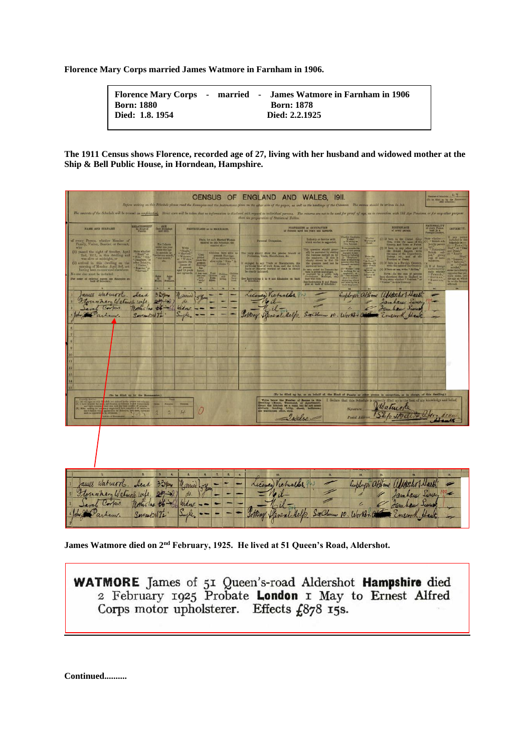**Florence Mary Corps married James Watmore in Farnham in 1906.**

|                | <b>Florence Mary Corps - married - James Watmore in Farnham in 1906</b> |
|----------------|-------------------------------------------------------------------------|
| Born: 1880     | <b>Born: 1878</b>                                                       |
| Died: 1.8.1954 | Died: 2.2.1925                                                          |

**The 1911 Census shows Florence, recorded age of 27, living with her husband and widowed mother at the Ship & Bell Public House, in Horndean, Hampshire.**

|                                                                                                                                                                                                                                                                                                                                                                                                                                                                                                                                                                                |                                                                                                                                                                                                                                                                           |                                                                                                                                                                                                                                                                                                                | <b>CENSUS OF ENGLAND AND WALES. 1911.</b>                                                                                                                                                                                                                                                                                              |                                                                                                                                                                                                                                                                                                                                               |                                                                                                                                                                                                                                                                                                                                                                                                                                                                                                                                  | Sunber of Schulch. 6 %<br>To be filled up by the En                                                          |
|--------------------------------------------------------------------------------------------------------------------------------------------------------------------------------------------------------------------------------------------------------------------------------------------------------------------------------------------------------------------------------------------------------------------------------------------------------------------------------------------------------------------------------------------------------------------------------|---------------------------------------------------------------------------------------------------------------------------------------------------------------------------------------------------------------------------------------------------------------------------|----------------------------------------------------------------------------------------------------------------------------------------------------------------------------------------------------------------------------------------------------------------------------------------------------------------|----------------------------------------------------------------------------------------------------------------------------------------------------------------------------------------------------------------------------------------------------------------------------------------------------------------------------------------|-----------------------------------------------------------------------------------------------------------------------------------------------------------------------------------------------------------------------------------------------------------------------------------------------------------------------------------------------|----------------------------------------------------------------------------------------------------------------------------------------------------------------------------------------------------------------------------------------------------------------------------------------------------------------------------------------------------------------------------------------------------------------------------------------------------------------------------------------------------------------------------------|--------------------------------------------------------------------------------------------------------------|
| The contents of the Schedule will be treated as confidential. Strict care will be taken that as information is disclosed with regard to individual persons. The veturas are not to be used for proof of age, as in connection                                                                                                                                                                                                                                                                                                                                                  |                                                                                                                                                                                                                                                                           |                                                                                                                                                                                                                                                                                                                | Before writing on this Schedule please road the Examples and the Instructions given on the other side of the paper, as well as the handings of the Culumns. The entrus should be written in Ink.<br>than the preparation of Statistical Tables.                                                                                        |                                                                                                                                                                                                                                                                                                                                               |                                                                                                                                                                                                                                                                                                                                                                                                                                                                                                                                  |                                                                                                              |
| RELATIONSHIP<br>NAME AND STREAMS                                                                                                                                                                                                                                                                                                                                                                                                                                                                                                                                               | <b>Class AGE</b><br>And BEET                                                                                                                                                                                                                                              | PARTICULARS as to MARRIAGH.                                                                                                                                                                                                                                                                                    |                                                                                                                                                                                                                                                                                                                                        | PROPERSION or OCCUPATION                                                                                                                                                                                                                                                                                                                      | RIRTHFLAGE                                                                                                                                                                                                                                                                                                                                                                                                                                                                                                                       | <b>NATIONALITY</b><br>of enery Person<br>hern in a<br>DUTCHITT.                                              |
| of every Person, whether Member of<br>Family, Visitor, Boarder, or Servant,<br>white<br>(1) passed the night of Sunday, April 2nd, 1911, in this dwelling and was alive at midnight, or<br>State whether $\frac{\alpha \cdot \text{Hend}_i^{\text{+}} \alpha}{\text{Will}_i^{\text{+}} \overset{\text{!+}}{\text{+}} \text{Hord}_i}$<br>(2) arrived in this dwelling on the morning of Monday, April 3rd, not<br><b>CVInino</b><br>having been enumerated elsewhere.<br>No one slac must be included.<br>For order of entering manns see Examples on<br>Head<br>ames watmorts. | For Infants<br>take the year<br>in mostle as<br>in mostle as<br>of one mostle<br>Widow<br>Singl<br>+ Wader<br>reposite the<br>names of<br>all persons<br>aged 15 years<br>$\begin{array}{c c}\n\text{Age} & \text{Age} \\ \text{New} & \text{New} \\ \end{array}$<br>33/4 | State, for each Married Waman emission on this Schedule, the sum<br>her of $\sim$<br>Children burn allys to present Macriage.<br>(If no children burn allys write $^{\circ}$ Non-<br>France<br>Lasted<br>Lasted<br>Lasted<br>Lasted<br>Column 7).<br>Children<br>Band<br>Doubl<br><b>Citate</b><br>Bars 1<br>с | Personal Occupation.<br>The reply should show the precise branch Precession, Trade, Manufacture, &c.<br>angugad in any Trade ar Manufacture, the particular kind of work doon, and the Article mode or Manufal werked ar dealt in stread be closely included.<br>Boy Instructions I to 8 and Emmoles on back<br>Licence Victualist 943 | Industry or Service with<br>his question should generally be answered by stating<br>the business earned on by<br>the employer. If this is shortly shown in Col. 10<br>the question need not<br>entry member for Truncetti Ser<br>vants in private exploration.<br>Completed for a public basis (interaction).<br>(See Instruction 8 and Easy- | Whether<br>Warting w<br>(1) If hern in the United Kieg<br>ion, write the mens of the<br>County, and Town at Paruk<br>(2) If been in any other part of the British Emmes, write the Dependence of the Dependence Color, and $\lvert$ of the Province or State.<br>(3) If here in a Foreign Country.<br>write the name of the Country.<br><b>STATISTICS</b><br>(4) If horn at ma, write "At Sea."<br>Nova  In the case of persons in the fact that in England or<br>Visitor " in this Country.<br>Employer afterne allerchot Sarth | "British rob-<br>ject by parout<br>British<br>(2) <sup>o</sup> Total<br>state wheth<br>German,<br>- Russian, |
| Florentrery Walmore wife,<br>James Corpo.s.<br>Mother Las. 66-<br>John Barbaul.<br>$S$ <i>arvant:</i> $172$                                                                                                                                                                                                                                                                                                                                                                                                                                                                    | arrier<br>$27 - 1$<br>do.<br>Widows.                                                                                                                                                                                                                                      |                                                                                                                                                                                                                                                                                                                | $=$ Noil<br>$\n  u$ -<br>Totony flexenlikelp.                                                                                                                                                                                                                                                                                          | Sallum 10. Worker. a                                                                                                                                                                                                                                                                                                                          | Jambauer Surrey<br>Jambau Sure<br>Emprock Hang                                                                                                                                                                                                                                                                                                                                                                                                                                                                                   |                                                                                                              |
| (To be filled up by the En-<br>$\overline{112}$<br>┱<br><b>District of Easter</b>                                                                                                                                                                                                                                                                                                                                                                                                                                                                                              | Halen<br><b>Yourselv</b><br><b>Typesa</b><br>$\overline{M}$<br>$\overline{a}$                                                                                                                                                                                             |                                                                                                                                                                                                                                                                                                                | Write below the Number of Boons in this<br><b>CTEAN</b><br>Iwelve =                                                                                                                                                                                                                                                                    | (To be filled up by, or on behalf of, the Head of Family or other person in occupation, or in charge, of this dwelling.)<br>Postal Address                                                                                                                                                                                                    | I declare that this Schedule is egrectly filled up to the best of my knowledge and behef.<br>Watwork<br>Ship 10 ell It Story deau                                                                                                                                                                                                                                                                                                                                                                                                | Hamls                                                                                                        |
|                                                                                                                                                                                                                                                                                                                                                                                                                                                                                                                                                                                |                                                                                                                                                                                                                                                                           |                                                                                                                                                                                                                                                                                                                |                                                                                                                                                                                                                                                                                                                                        |                                                                                                                                                                                                                                                                                                                                               |                                                                                                                                                                                                                                                                                                                                                                                                                                                                                                                                  |                                                                                                              |
| Head<br>ames Watmore.<br>torence mary Wasmon wife<br>Mother Law.<br>Servant: 172                                                                                                                                                                                                                                                                                                                                                                                                                                                                                               | 33<br>Married<br>Widow.                                                                                                                                                                                                                                                   | 7.<br><b>B.</b><br>$\alpha$                                                                                                                                                                                                                                                                                    | 9.<br>Victorable<br>ricense<br>reallelf                                                                                                                                                                                                                                                                                                | See Column 10. Worker.                                                                                                                                                                                                                                                                                                                        | 13.<br>Employer aftrome<br>Jambaux Lurey<br>tambaux Tures                                                                                                                                                                                                                                                                                                                                                                                                                                                                        |                                                                                                              |

**James Watmore died on 2nd February, 1925. He lived at 51 Queen's Road, Aldershot.**

WATMORE James of 51 Queen's-road Aldershot Hampshire died<br>
2 February 1925 Probate London 1 May to Ernest Alfred<br>
Corps motor upholsterer. Effects  $f_0$ 878 15s.

**Continued..........**